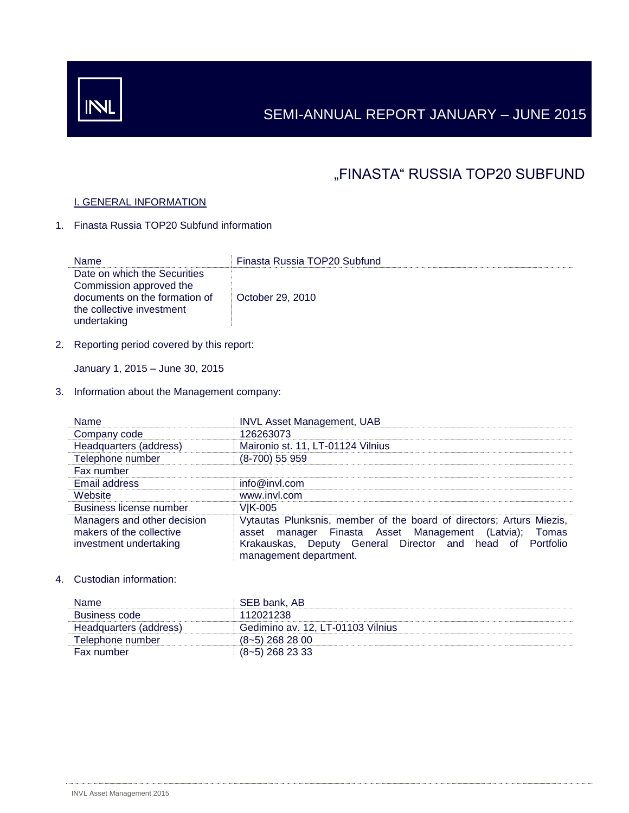# SEMI-ANNUAL REPORT JANUARY – JUNE 2015

# "FINASTA" RUSSIA TOP20 SUBFUND

## I. GENERAL INFORMATION

1. Finasta Russia TOP20 Subfund information

| Name                                                                                                                                 | Finasta Russia TOP20 Subfund |
|--------------------------------------------------------------------------------------------------------------------------------------|------------------------------|
| Date on which the Securities<br>Commission approved the<br>documents on the formation of<br>the collective investment<br>undertaking | October 29, 2010             |

2. Reporting period covered by this report:

January 1, 2015 – June 30, 2015

3. Information about the Management company:

| <b>Name</b>                                                                       | <b>INVL Asset Management, UAB</b>                                                                                                                                                                                     |
|-----------------------------------------------------------------------------------|-----------------------------------------------------------------------------------------------------------------------------------------------------------------------------------------------------------------------|
| Company code                                                                      | 126263073                                                                                                                                                                                                             |
| Headquarters (address)                                                            | Maironio st. 11, LT-01124 Vilnius                                                                                                                                                                                     |
| Telephone number                                                                  | (8-700) 55 959                                                                                                                                                                                                        |
| Fax number                                                                        |                                                                                                                                                                                                                       |
| Email address                                                                     | info@invl.com                                                                                                                                                                                                         |
| Website                                                                           | www.invl.com                                                                                                                                                                                                          |
| <b>Business license number</b>                                                    | <b>VIK-005</b>                                                                                                                                                                                                        |
| Managers and other decision<br>makers of the collective<br>investment undertaking | Vytautas Plunksnis, member of the board of directors; Arturs Miezis,<br>asset manager Finasta Asset Management (Latvia); Tomas<br>Krakauskas, Deputy General Director and head of Portfolio<br>management department. |

## 4. Custodian information:

| <b>Name</b>            | SEB bank, AB                      |
|------------------------|-----------------------------------|
| Business code          | 112021238                         |
| Headquarters (address) | Gedimino av. 12, LT-01103 Vilnius |
| Telephone number       | $(8-5)$ 268 28 00                 |
| Fax number             | $(8-5)$ 268 23 33                 |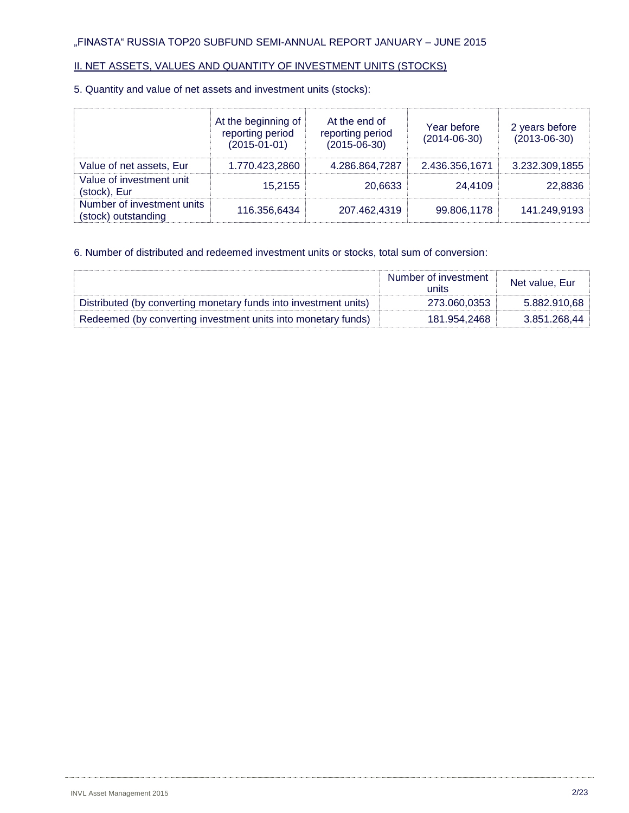## II. NET ASSETS, VALUES AND QUANTITY OF INVESTMENT UNITS (STOCKS)

## 5. Quantity and value of net assets and investment units (stocks):

|                                                   | At the beginning of<br>reporting period<br>$(2015 - 01 - 01)$ | At the end of<br>reporting period<br>$(2015 - 06 - 30)$ | Year before<br>$(2014 - 06 - 30)$ | 2 years before<br>$(2013 - 06 - 30)$ |
|---------------------------------------------------|---------------------------------------------------------------|---------------------------------------------------------|-----------------------------------|--------------------------------------|
| Value of net assets, Eur                          | 1.770.423,2860                                                | 4.286.864,7287                                          | 2.436.356,1671                    | 3.232.309,1855                       |
| Value of investment unit<br>(stock), Eur          | 15,2155                                                       | 20.6633                                                 | 24.4109                           | 22,8836                              |
| Number of investment units<br>(stock) outstanding | 116.356,6434                                                  | 207.462.4319                                            | 99.806,1178                       | 141.249,9193                         |

## 6. Number of distributed and redeemed investment units or stocks, total sum of conversion:

|                                                                  | Number of investment<br>units | Net value, Eur |
|------------------------------------------------------------------|-------------------------------|----------------|
| Distributed (by converting monetary funds into investment units) | 273.060.0353                  | 5.882.910,68   |
| Redeemed (by converting investment units into monetary funds)    | 181.954.2468                  | 3.851.268,44   |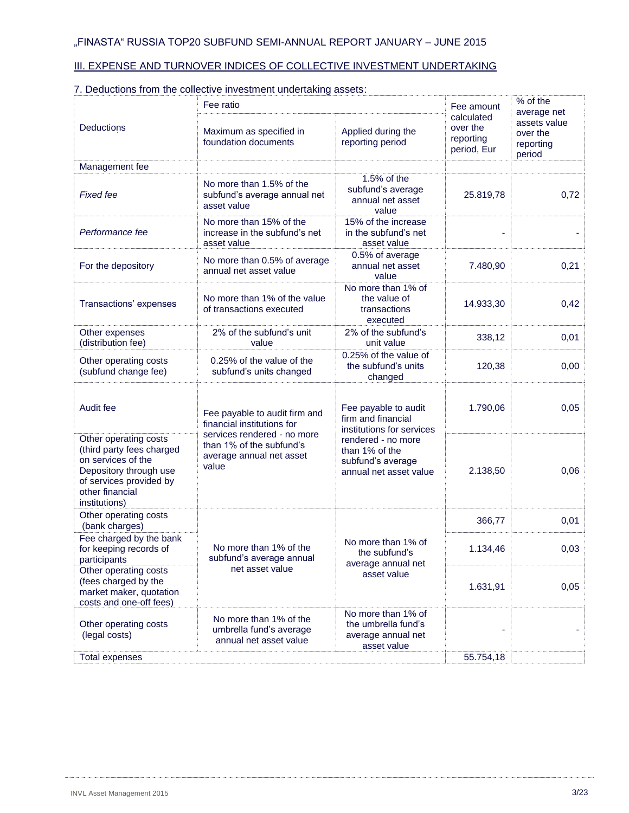## III. EXPENSE AND TURNOVER INDICES OF COLLECTIVE INVESTMENT UNDERTAKING

|                                                                                                                                                                   | Fee ratio                                                                                    |                                                                                     |                                                                |      |  |  |  |
|-------------------------------------------------------------------------------------------------------------------------------------------------------------------|----------------------------------------------------------------------------------------------|-------------------------------------------------------------------------------------|----------------------------------------------------------------|------|--|--|--|
| Deductions                                                                                                                                                        | Applied during the<br>reporting period                                                       | calculated<br>over the<br>reporting<br>period, Eur                                  | average net<br>assets value<br>over the<br>reporting<br>period |      |  |  |  |
| Management fee                                                                                                                                                    |                                                                                              |                                                                                     |                                                                |      |  |  |  |
| <b>Fixed fee</b>                                                                                                                                                  | No more than 1.5% of the<br>subfund's average annual net<br>asset value                      | 1.5% of the<br>subfund's average<br>annual net asset<br>value                       | 25.819,78                                                      | 0,72 |  |  |  |
| Performance fee                                                                                                                                                   | No more than 15% of the<br>increase in the subfund's net<br>asset value                      | 15% of the increase<br>in the subfund's net<br>asset value                          |                                                                |      |  |  |  |
| For the depository                                                                                                                                                | No more than 0.5% of average<br>annual net asset value                                       | 0.5% of average<br>annual net asset<br>value                                        | 7.480,90                                                       | 0,21 |  |  |  |
| Transactions' expenses                                                                                                                                            | No more than 1% of the value<br>of transactions executed                                     | No more than 1% of<br>the value of<br>transactions<br>executed                      | 14.933,30                                                      | 0,42 |  |  |  |
| Other expenses<br>(distribution fee)                                                                                                                              | 2% of the subfund's unit<br>value                                                            | 2% of the subfund's<br>unit value                                                   | 338,12                                                         | 0,01 |  |  |  |
| Other operating costs<br>(subfund change fee)                                                                                                                     | 0.25% of the value of the<br>subfund's units changed                                         | 0.25% of the value of<br>the subfund's units<br>changed                             | 120,38                                                         | 0,00 |  |  |  |
| Audit fee                                                                                                                                                         | Fee payable to audit firm and<br>financial institutions for                                  |                                                                                     | 1.790,06                                                       | 0,05 |  |  |  |
| Other operating costs<br>(third party fees charged<br>on services of the<br>Depository through use<br>of services provided by<br>other financial<br>institutions) | services rendered - no more<br>than 1% of the subfund's<br>average annual net asset<br>value | rendered - no more<br>than 1% of the<br>subfund's average<br>annual net asset value | 2.138,50                                                       | 0,06 |  |  |  |
| Other operating costs<br>(bank charges)                                                                                                                           |                                                                                              |                                                                                     | 366,77                                                         | 0,01 |  |  |  |
| Fee charged by the bank<br>for keeping records of<br>participants                                                                                                 | No more than 1% of the<br>subfund's average annual                                           | No more than 1% of<br>the subfund's<br>average annual net                           | 1.134,46                                                       | 0,03 |  |  |  |
| Other operating costs<br>(fees charged by the<br>market maker, quotation<br>costs and one-off fees)                                                               | net asset value                                                                              | asset value                                                                         | 1.631,91                                                       | 0,05 |  |  |  |
| Other operating costs<br>(legal costs)                                                                                                                            | No more than 1% of the<br>umbrella fund's average<br>annual net asset value                  | No more than 1% of<br>the umbrella fund's<br>average annual net<br>asset value      |                                                                |      |  |  |  |
| <b>Total expenses</b>                                                                                                                                             |                                                                                              |                                                                                     | 55.754,18                                                      |      |  |  |  |

# 7. Deductions from the collective investment undertaking assets: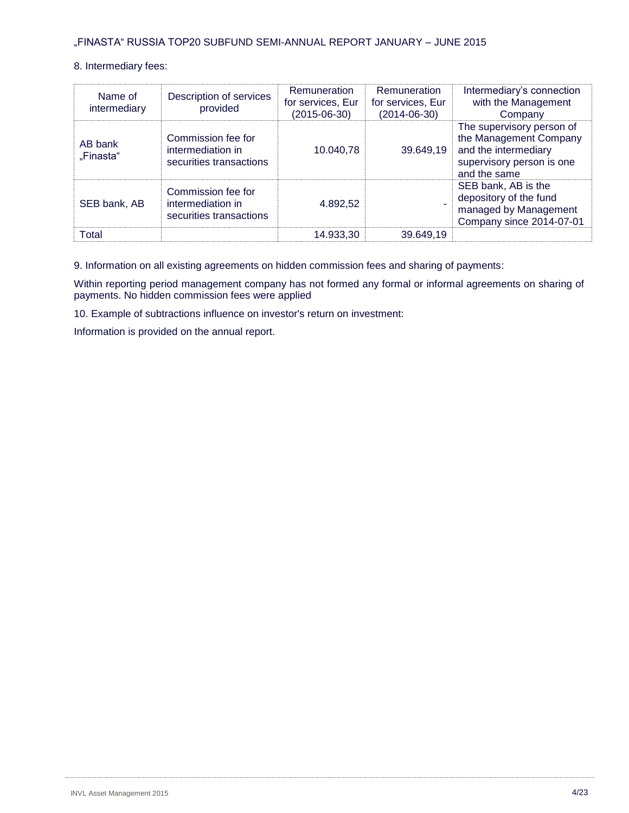## 8. Intermediary fees:

| Name of<br>intermediary | Description of services<br>provided                                | Remuneration<br>for services, Eur<br>(2015-06-30) | Remuneration<br>for services, Eur<br>$(2014 - 06 - 30)$ | Intermediary's connection<br>with the Management<br>Company                                                              |
|-------------------------|--------------------------------------------------------------------|---------------------------------------------------|---------------------------------------------------------|--------------------------------------------------------------------------------------------------------------------------|
| AB bank<br>"Finasta"    | Commission fee for<br>intermediation in<br>securities transactions | 10.040,78                                         | 39.649,19                                               | The supervisory person of<br>the Management Company<br>and the intermediary<br>supervisory person is one<br>and the same |
| SEB bank, AB            | Commission fee for<br>intermediation in<br>securities transactions | 4.892.52                                          |                                                         | SEB bank, AB is the<br>depository of the fund<br>managed by Management<br>Company since 2014-07-01                       |
| Total                   |                                                                    | 14.933,30                                         | 39.649,19                                               |                                                                                                                          |

9. Information on all existing agreements on hidden commission fees and sharing of payments:

Within reporting period management company has not formed any formal or informal agreements on sharing of payments. No hidden commission fees were applied

10. Example of subtractions influence on investor's return on investment:

Information is provided on the annual report.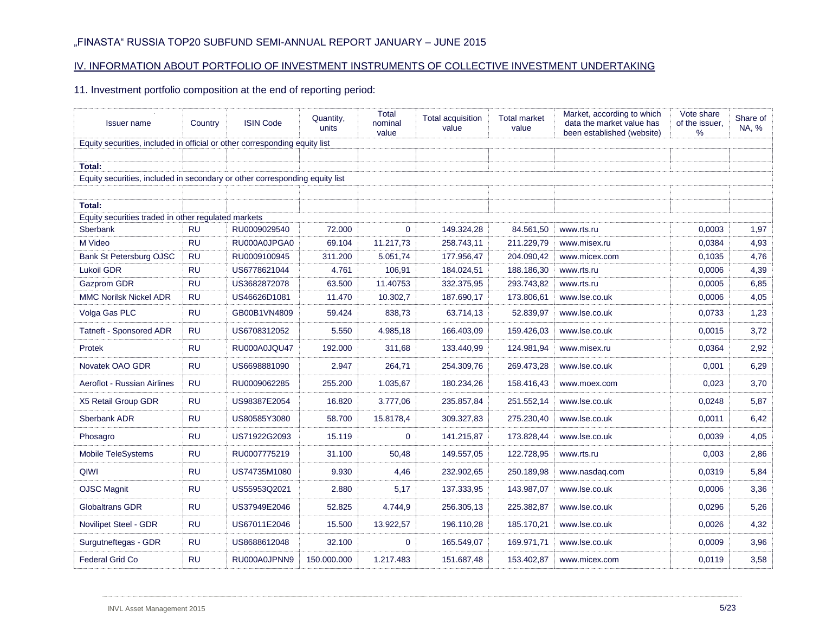## IV. INFORMATION ABOUT PORTFOLIO OF INVESTMENT INSTRUMENTS OF COLLECTIVE INVESTMENT UNDERTAKING

11. Investment portfolio composition at the end of reporting period:

| <b>Issuer name</b>                                                                    | Country   | <b>ISIN Code</b> | Quantity,<br>units | Total<br>nominal<br>value | <b>Total acquisition</b><br>value | <b>Total market</b><br>value | Market, according to which<br>data the market value has<br>been established (website) | Vote share<br>of the issuer.<br>% | Share of<br>NA, % |
|---------------------------------------------------------------------------------------|-----------|------------------|--------------------|---------------------------|-----------------------------------|------------------------------|---------------------------------------------------------------------------------------|-----------------------------------|-------------------|
| Equity securities, included in official or other corresponding equity list            |           |                  |                    |                           |                                   |                              |                                                                                       |                                   |                   |
|                                                                                       |           |                  |                    |                           |                                   |                              |                                                                                       |                                   |                   |
| Total:<br>Equity securities, included in secondary or other corresponding equity list |           |                  |                    |                           |                                   |                              |                                                                                       |                                   |                   |
|                                                                                       |           |                  |                    |                           |                                   |                              |                                                                                       |                                   |                   |
| Total:                                                                                |           |                  |                    |                           |                                   |                              |                                                                                       |                                   |                   |
| Equity securities traded in other regulated markets                                   |           |                  |                    |                           |                                   |                              |                                                                                       |                                   |                   |
| Sberbank                                                                              | <b>RU</b> | RU0009029540     | 72.000             | $\mathbf{0}$              | 149.324,28                        | 84.561,50                    | www.rts.ru                                                                            | 0,0003                            | 1,97              |
| M Video                                                                               | <b>RU</b> | RU000A0JPGA0     | 69.104             | 11.217,73                 | 258.743,11                        | 211.229,79                   | www.misex.ru                                                                          | 0,0384                            | 4,93              |
| <b>Bank St Petersburg OJSC</b>                                                        | <b>RU</b> | RU0009100945     | 311.200            | 5.051,74                  | 177.956,47                        | 204.090,42                   | www.micex.com                                                                         | 0,1035                            | 4,76              |
| <b>Lukoil GDR</b>                                                                     | <b>RU</b> | US6778621044     | 4.761              | 106,91                    | 184.024,51                        | 188.186,30                   | www.rts.ru                                                                            | 0,0006                            | 4,39              |
| Gazprom GDR                                                                           | <b>RU</b> | US3682872078     | 63.500             | 11.40753                  | 332.375,95                        | 293.743,82                   | www.rts.ru                                                                            | 0,0005                            | 6,85              |
| <b>MMC Norilsk Nickel ADR</b>                                                         | <b>RU</b> | US46626D1081     | 11.470             | 10.302,7                  | 187.690,17                        | 173.806,61                   | www.lse.co.uk                                                                         | 0,0006                            | 4,05              |
| Volga Gas PLC                                                                         | <b>RU</b> | GB00B1VN4809     | 59.424             | 838,73                    | 63.714,13                         | 52.839,97                    | www.lse.co.uk                                                                         | 0,0733                            | 1,23              |
| <b>Tatneft - Sponsored ADR</b>                                                        | <b>RU</b> | US6708312052     | 5.550              | 4.985,18                  | 166.403,09                        | 159.426,03                   | www.lse.co.uk                                                                         | 0,0015                            | 3,72              |
| Protek                                                                                | <b>RU</b> | RU000A0JQU47     | 192.000            | 311,68                    | 133.440,99                        | 124.981,94                   | www.misex.ru                                                                          | 0,0364                            | 2,92              |
| Novatek OAO GDR                                                                       | <b>RU</b> | US6698881090     | 2.947              | 264,71                    | 254.309,76                        | 269.473,28                   | www.lse.co.uk                                                                         | 0,001                             | 6,29              |
| Aeroflot - Russian Airlines                                                           | <b>RU</b> | RU0009062285     | 255.200            | 1.035,67                  | 180.234,26                        | 158.416,43                   | www.moex.com                                                                          | 0,023                             | 3,70              |
| X5 Retail Group GDR                                                                   | <b>RU</b> | US98387E2054     | 16.820             | 3.777,06                  | 235.857,84                        | 251.552,14                   | www.lse.co.uk                                                                         | 0,0248                            | 5,87              |
| Sberbank ADR                                                                          | <b>RU</b> | US80585Y3080     | 58.700             | 15.8178,4                 | 309.327,83                        | 275.230,40                   | www.lse.co.uk                                                                         | 0,0011                            | 6,42              |
| Phosagro                                                                              | <b>RU</b> | US71922G2093     | 15.119             | $\Omega$                  | 141.215,87                        | 173.828,44                   | www.lse.co.uk                                                                         | 0,0039                            | 4,05              |
| Mobile TeleSystems                                                                    | <b>RU</b> | RU0007775219     | 31.100             | 50,48                     | 149.557,05                        | 122.728,95                   | www.rts.ru                                                                            | 0,003                             | 2,86              |
| QIWI                                                                                  | <b>RU</b> | US74735M1080     | 9.930              | 4,46                      | 232.902,65                        | 250.189,98                   | www.nasdag.com                                                                        | 0,0319                            | 5,84              |
| <b>OJSC Magnit</b>                                                                    | <b>RU</b> | US55953Q2021     | 2.880              | 5,17                      | 137.333,95                        | 143.987,07                   | www.lse.co.uk                                                                         | 0,0006                            | 3,36              |
| <b>Globaltrans GDR</b>                                                                | <b>RU</b> | US37949E2046     | 52.825             | 4.744,9                   | 256.305,13                        | 225.382,87                   | www.lse.co.uk                                                                         | 0,0296                            | 5,26              |
| Novilipet Steel - GDR                                                                 | <b>RU</b> | US67011E2046     | 15.500             | 13.922,57                 | 196.110,28                        | 185.170,21                   | www.lse.co.uk                                                                         | 0,0026                            | 4,32              |
| Surgutneftegas - GDR                                                                  | <b>RU</b> | US8688612048     | 32.100             | $\mathbf{0}$              | 165.549,07                        | 169.971,71                   | www.lse.co.uk                                                                         | 0,0009                            | 3,96              |
| Federal Grid Co                                                                       | <b>RU</b> | RU000A0JPNN9     | 150.000.000        | 1.217.483                 | 151.687,48                        | 153.402,87                   | www.micex.com                                                                         | 0.0119                            | 3,58              |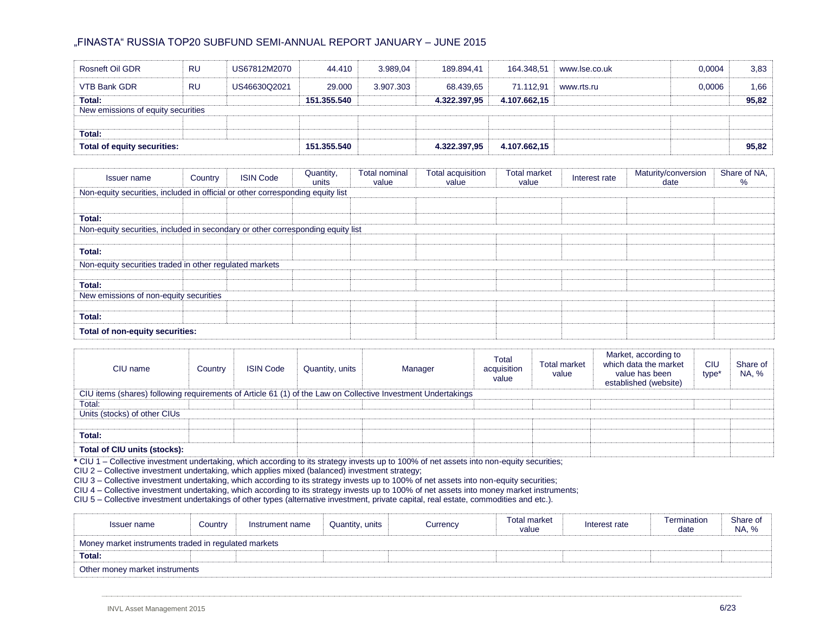| Rosneft Oil GDR                    | <b>RU</b> | US67812M2070 | 44.410      | 3.989.04  | 189.894,41   | 164.348.51   | www.lse.co.uk | 0.0004 | 3,83  |
|------------------------------------|-----------|--------------|-------------|-----------|--------------|--------------|---------------|--------|-------|
| VTB Bank GDR                       | <b>RU</b> | US46630Q2021 | 29,000      | 3.907.303 | 68.439.65    | 71.112.91    | www.rts.ru    | 0.0006 | 1,66  |
| Total:                             |           |              | 151.355.540 |           | 4.322.397,95 | 4.107.662,15 |               |        | 95,82 |
| New emissions of equity securities |           |              |             |           |              |              |               |        |       |
|                                    |           |              |             |           |              |              |               |        |       |
| Total:                             |           |              |             |           |              |              |               |        |       |
| Total of equity securities:        |           |              | 151.355.540 |           | 4.322.397,95 | 4.107.662,15 |               |        | 95,82 |

| Issuer name                                                                     | Country | <b>ISIN Code</b> | Quantity,<br>units | <b>Total nominal</b><br>value | <b>Total acquisition</b><br>value | <b>Total market</b><br>value | Interest rate | Maturity/conversion<br>date | Share of NA,<br>℅ |  |  |  |  |
|---------------------------------------------------------------------------------|---------|------------------|--------------------|-------------------------------|-----------------------------------|------------------------------|---------------|-----------------------------|-------------------|--|--|--|--|
| Non-equity securities, included in official or other corresponding equity list  |         |                  |                    |                               |                                   |                              |               |                             |                   |  |  |  |  |
|                                                                                 |         |                  |                    |                               |                                   |                              |               |                             |                   |  |  |  |  |
| Total:                                                                          |         |                  |                    |                               |                                   |                              |               |                             |                   |  |  |  |  |
| Non-equity securities, included in secondary or other corresponding equity list |         |                  |                    |                               |                                   |                              |               |                             |                   |  |  |  |  |
|                                                                                 |         |                  |                    |                               |                                   |                              |               |                             |                   |  |  |  |  |
| Total:                                                                          |         |                  |                    |                               |                                   |                              |               |                             |                   |  |  |  |  |
| Non-equity securities traded in other regulated markets                         |         |                  |                    |                               |                                   |                              |               |                             |                   |  |  |  |  |
|                                                                                 |         |                  |                    |                               |                                   |                              |               |                             |                   |  |  |  |  |
| Total:                                                                          |         |                  |                    |                               |                                   |                              |               |                             |                   |  |  |  |  |
| New emissions of non-equity securities                                          |         |                  |                    |                               |                                   |                              |               |                             |                   |  |  |  |  |
|                                                                                 |         |                  |                    |                               |                                   |                              |               |                             |                   |  |  |  |  |
| Total:                                                                          |         |                  |                    |                               |                                   |                              |               |                             |                   |  |  |  |  |
| Total of non-equity securities:                                                 |         |                  |                    |                               |                                   |                              |               |                             |                   |  |  |  |  |

| CIU name                                                                                                     | Country | <b>ISIN Code</b> | Quantity, units | Manager | Total<br>acquisition<br>value | <b>Total market</b><br>value | Market, according to<br>which data the market<br>value has been<br>established (website) | CIU<br>type <sup>*</sup> | Share of<br>NA, % |  |  |  |  |
|--------------------------------------------------------------------------------------------------------------|---------|------------------|-----------------|---------|-------------------------------|------------------------------|------------------------------------------------------------------------------------------|--------------------------|-------------------|--|--|--|--|
| CIU items (shares) following requirements of Article 61 (1) of the Law on Collective Investment Undertakings |         |                  |                 |         |                               |                              |                                                                                          |                          |                   |  |  |  |  |
| Total:                                                                                                       |         |                  |                 |         |                               |                              |                                                                                          |                          |                   |  |  |  |  |
| Units (stocks) of other CIUs                                                                                 |         |                  |                 |         |                               |                              |                                                                                          |                          |                   |  |  |  |  |
|                                                                                                              |         |                  |                 |         |                               |                              |                                                                                          |                          |                   |  |  |  |  |
| Total:                                                                                                       |         |                  |                 |         |                               |                              |                                                                                          |                          |                   |  |  |  |  |
| Total of CIU units (stocks):                                                                                 |         |                  |                 |         |                               |                              |                                                                                          |                          |                   |  |  |  |  |

**\*** CIU 1 – Collective investment undertaking, which according to its strategy invests up to 100% of net assets into non-equity securities;

CIU 2 – Collective investment undertaking, which applies mixed (balanced) investment strategy;

CIU 3 – Collective investment undertaking, which according to its strategy invests up to 100% of net assets into non-equity securities;

CIU 4 – Collective investment undertaking, which according to its strategy invests up to 100% of net assets into money market instruments;

CIU 5 – Collective investment undertakings of other types (alternative investment, private capital, real estate, commodities and etc.).

| Issuer name                                          | Country | Instrument name | Quantity, units | Currency | <b>Total market</b><br>value | Interest rate | Termination<br>date | Share of<br>NA, % |  |  |  |
|------------------------------------------------------|---------|-----------------|-----------------|----------|------------------------------|---------------|---------------------|-------------------|--|--|--|
| Money market instruments traded in regulated markets |         |                 |                 |          |                              |               |                     |                   |  |  |  |
| Total:                                               |         |                 |                 |          |                              |               |                     |                   |  |  |  |
| Other money market instruments                       |         |                 |                 |          |                              |               |                     |                   |  |  |  |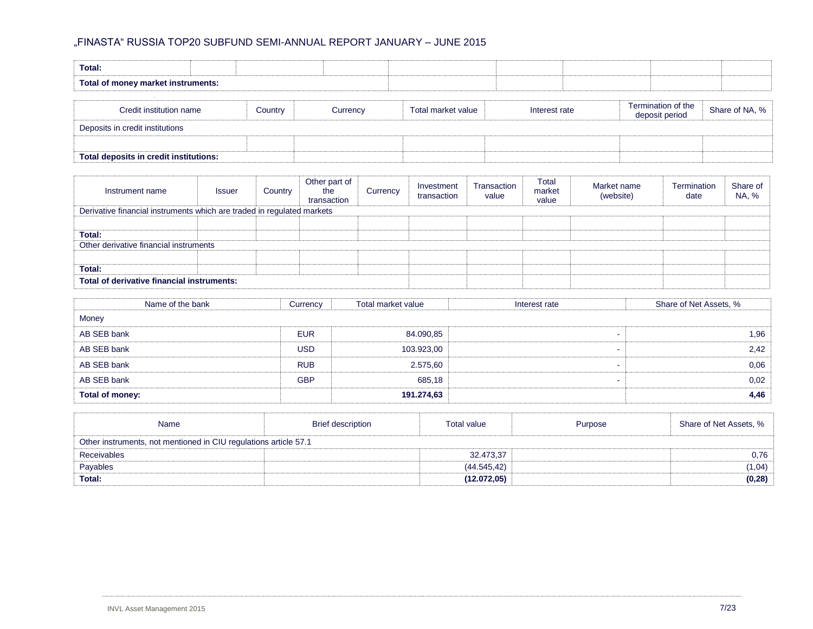| <b>Total:</b>                      |         |          |                    |               |                    |                |
|------------------------------------|---------|----------|--------------------|---------------|--------------------|----------------|
| Total of money market instruments: |         |          |                    |               |                    |                |
|                                    |         |          |                    |               | Termination of the |                |
| Credit institution name            | Country | Currencv | Total market value | Interest rate | deposit period     | Share of NA, % |
| Deposits in credit institutions    |         |          |                    |               |                    |                |

| <br>еон                   |  |  |
|---------------------------|--|--|
| <b>Tot</b><br>nstitutions |  |  |
|                           |  |  |
|                           |  |  |
|                           |  |  |
|                           |  |  |
|                           |  |  |

| Instrument name                                                        | <b>Issuer</b> | Country | Other part of<br>the<br>transaction | Currency | Investment<br>transaction | Transaction<br>value | Total<br>market<br>value | Market name<br>(website) | Termination<br>date | Share of<br>NA, % |
|------------------------------------------------------------------------|---------------|---------|-------------------------------------|----------|---------------------------|----------------------|--------------------------|--------------------------|---------------------|-------------------|
| Derivative financial instruments which are traded in regulated markets |               |         |                                     |          |                           |                      |                          |                          |                     |                   |
|                                                                        |               |         |                                     |          |                           |                      |                          |                          |                     |                   |
| Total:                                                                 |               |         |                                     |          |                           |                      |                          |                          |                     |                   |
| Other derivative financial instruments                                 |               |         |                                     |          |                           |                      |                          |                          |                     |                   |
|                                                                        |               |         |                                     |          |                           |                      |                          |                          |                     |                   |
| Total:                                                                 |               |         |                                     |          |                           |                      |                          |                          |                     |                   |
| Total of derivative financial instruments:                             |               |         |                                     |          |                           |                      |                          |                          |                     |                   |

| Name of the bank | Currency   | Total market value | Interest rate | Share of Net Assets, % |
|------------------|------------|--------------------|---------------|------------------------|
| Money            |            |                    |               |                        |
| AB SEB bank      | <b>EUR</b> | 84.090,85          |               | 1,96                   |
| AB SEB bank      | <b>USD</b> | 103.923,00         |               | 2,42                   |
| AB SEB bank      | <b>RUB</b> | 2.575,60           |               | 0,06                   |
| AB SEB bank      | <b>GBP</b> | 685,18             |               | 0,02                   |
| Total of money:  |            | 191.274,63         |               | 4,46                   |

| Name                                                             | <b>Brief description</b> | <b>Total value</b> | Purpose | Share of Net Assets, % |  |  |  |
|------------------------------------------------------------------|--------------------------|--------------------|---------|------------------------|--|--|--|
| Other instruments, not mentioned in CIU regulations article 57.1 |                          |                    |         |                        |  |  |  |
| <b>Receivables</b>                                               |                          | 32.473.37          |         | 0,76                   |  |  |  |
| Payables                                                         |                          | (44.545, 42)       |         | (1,04)                 |  |  |  |
| Total:                                                           |                          | (12.072.05)        |         | (0, 28)                |  |  |  |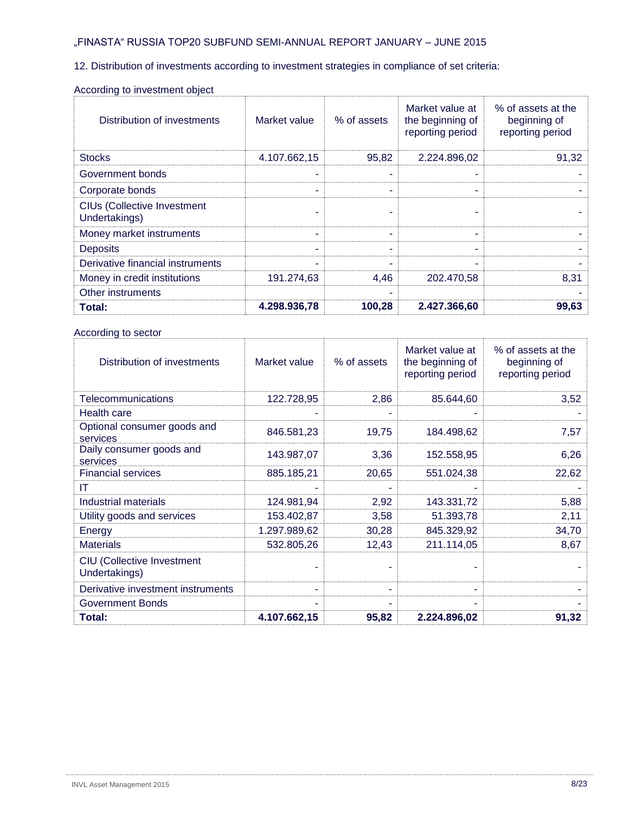12. Distribution of investments according to investment strategies in compliance of set criteria:

| Distribution of investments                         | Market value | % of assets | Market value at<br>the beginning of<br>reporting period | % of assets at the<br>beginning of<br>reporting period |
|-----------------------------------------------------|--------------|-------------|---------------------------------------------------------|--------------------------------------------------------|
| <b>Stocks</b>                                       | 4.107.662,15 | 95,82       | 2.224.896,02                                            | 91,32                                                  |
| Government bonds                                    |              | ۰           | ۰                                                       |                                                        |
| Corporate bonds                                     |              |             | ۰                                                       |                                                        |
| <b>CIUs (Collective Investment</b><br>Undertakings) |              | ۰           | ۰                                                       |                                                        |
| Money market instruments                            |              |             | ۰                                                       |                                                        |
| <b>Deposits</b>                                     |              |             |                                                         |                                                        |
| Derivative financial instruments                    |              |             |                                                         |                                                        |
| Money in credit institutions                        | 191.274,63   | 4,46        | 202.470,58                                              | 8,31                                                   |
| Other instruments                                   |              |             |                                                         |                                                        |
| Total:                                              | 4.298.936,78 | 100,28      | 2.427.366,60                                            | 99,63                                                  |

#### According to investment object

# According to sector

| Distribution of investments                        | Market value | % of assets | Market value at<br>the beginning of<br>reporting period | % of assets at the<br>beginning of<br>reporting period |
|----------------------------------------------------|--------------|-------------|---------------------------------------------------------|--------------------------------------------------------|
| Telecommunications                                 | 122.728,95   | 2,86        | 85.644,60                                               | 3,52                                                   |
| Health care                                        |              |             |                                                         |                                                        |
| Optional consumer goods and<br>services            | 846.581,23   | 19,75       | 184.498,62                                              | 7,57                                                   |
| Daily consumer goods and<br>services               | 143.987,07   | 3,36        | 152.558,95                                              | 6,26                                                   |
| <b>Financial services</b>                          | 885.185,21   | 20,65       | 551.024,38                                              | 22,62                                                  |
| IT                                                 |              |             |                                                         |                                                        |
| Industrial materials                               | 124.981,94   | 2,92        | 143.331,72                                              | 5,88                                                   |
| Utility goods and services                         | 153.402,87   | 3,58        | 51.393,78                                               | 2,11                                                   |
| Energy                                             | 1.297.989,62 | 30,28       | 845.329,92                                              | 34,70                                                  |
| <b>Materials</b>                                   | 532.805,26   | 12,43       | 211.114,05                                              | 8,67                                                   |
| <b>CIU (Collective Investment</b><br>Undertakings) |              |             |                                                         |                                                        |
| Derivative investment instruments                  | ۰            | ٠           | ۰                                                       |                                                        |
| <b>Government Bonds</b>                            |              |             |                                                         |                                                        |
| Total:                                             | 4.107.662,15 | 95,82       | 2.224.896,02                                            | 91,32                                                  |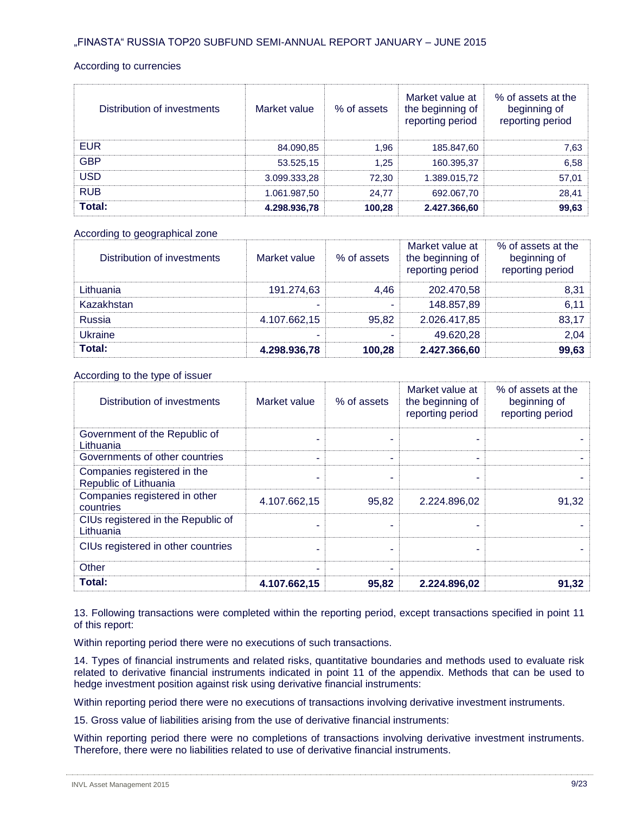#### According to currencies

| Distribution of investments | Market value | % of assets | Market value at<br>the beginning of<br>reporting period | % of assets at the<br>beginning of<br>reporting period |
|-----------------------------|--------------|-------------|---------------------------------------------------------|--------------------------------------------------------|
| <b>EUR</b>                  | 84.090,85    | 1.96        | 185.847,60                                              | 7,63                                                   |
| <b>GBP</b>                  | 53.525,15    | 1.25        | 160.395,37                                              | 6,58                                                   |
| <b>USD</b>                  | 3.099.333,28 | 72.30       | 1.389.015,72                                            | 57,01                                                  |
| <b>RUB</b>                  | 1.061.987,50 | 24.77       | 692.067,70                                              | 28,41                                                  |
| Total:                      | 4.298.936,78 | 100,28      | 2.427.366,60                                            | 99,63                                                  |

#### According to geographical zone

| Distribution of investments | Market value | % of assets | Market value at<br>the beginning of<br>reporting period | % of assets at the<br>beginning of<br>reporting period |
|-----------------------------|--------------|-------------|---------------------------------------------------------|--------------------------------------------------------|
| Lithuania                   | 191.274,63   | 4.46        | 202.470.58                                              | 8,31                                                   |
| Kazakhstan                  | ۰            | ۰           | 148.857,89                                              | 6,11                                                   |
| Russia                      | 4.107.662,15 | 95.82       | 2.026.417,85                                            | 83,17                                                  |
| Ukraine                     |              |             | 49.620,28                                               | 2,04                                                   |
| <b>Total:</b>               | 4.298.936,78 | 100,28      | 2.427.366,60                                            | 99,63                                                  |

### According to the type of issuer

| Distribution of investments                          | Market value | % of assets | Market value at<br>the beginning of<br>reporting period | % of assets at the<br>beginning of<br>reporting period |
|------------------------------------------------------|--------------|-------------|---------------------------------------------------------|--------------------------------------------------------|
| Government of the Republic of<br>Lithuania           |              |             |                                                         |                                                        |
| Governments of other countries                       |              | ۰           | ۰                                                       |                                                        |
| Companies registered in the<br>Republic of Lithuania |              |             |                                                         |                                                        |
| Companies registered in other<br>countries           | 4.107.662,15 | 95,82       | 2.224.896,02                                            | 91,32                                                  |
| CIUs registered in the Republic of<br>Lithuania      |              |             | ۰                                                       |                                                        |
| CIUs registered in other countries                   |              | ٠           | ۰                                                       |                                                        |
| Other                                                |              |             |                                                         |                                                        |
| Total:                                               | 4.107.662,15 | 95,82       | 2.224.896,02                                            | 91,32                                                  |

13. Following transactions were completed within the reporting period, except transactions specified in point 11 of this report:

Within reporting period there were no executions of such transactions.

14. Types of financial instruments and related risks, quantitative boundaries and methods used to evaluate risk related to derivative financial instruments indicated in point 11 of the appendix. Methods that can be used to hedge investment position against risk using derivative financial instruments:

Within reporting period there were no executions of transactions involving derivative investment instruments.

15. Gross value of liabilities arising from the use of derivative financial instruments:

Within reporting period there were no completions of transactions involving derivative investment instruments. Therefore, there were no liabilities related to use of derivative financial instruments.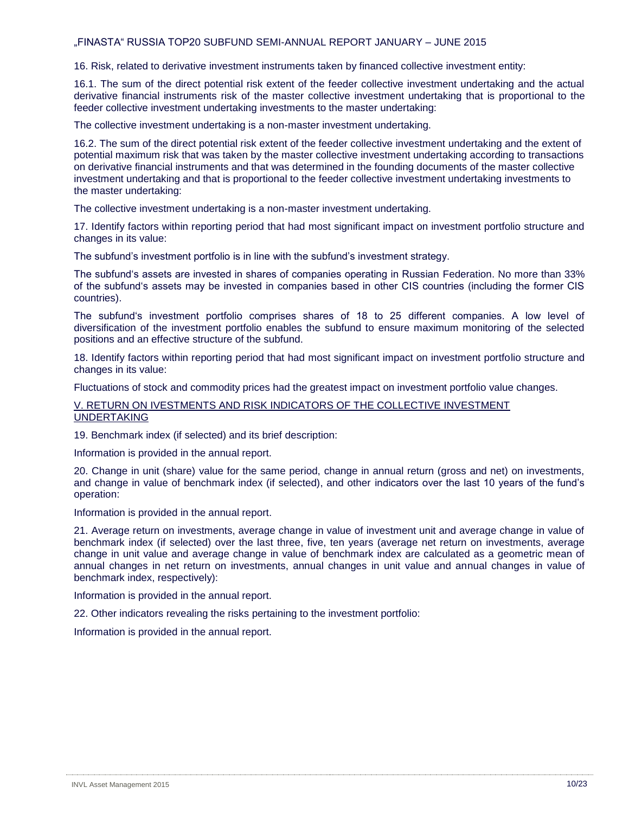16. Risk, related to derivative investment instruments taken by financed collective investment entity:

16.1. The sum of the direct potential risk extent of the feeder collective investment undertaking and the actual derivative financial instruments risk of the master collective investment undertaking that is proportional to the feeder collective investment undertaking investments to the master undertaking:

The collective investment undertaking is a non-master investment undertaking.

16.2. The sum of the direct potential risk extent of the feeder collective investment undertaking and the extent of potential maximum risk that was taken by the master collective investment undertaking according to transactions on derivative financial instruments and that was determined in the founding documents of the master collective investment undertaking and that is proportional to the feeder collective investment undertaking investments to the master undertaking:

The collective investment undertaking is a non-master investment undertaking.

17. Identify factors within reporting period that had most significant impact on investment portfolio structure and changes in its value:

The subfund's investment portfolio is in line with the subfund's investment strategy.

The subfund's assets are invested in shares of companies operating in Russian Federation. No more than 33% of the subfund's assets may be invested in companies based in other CIS countries (including the former CIS countries).

The subfund's investment portfolio comprises shares of 18 to 25 different companies. A low level of diversification of the investment portfolio enables the subfund to ensure maximum monitoring of the selected positions and an effective structure of the subfund.

18. Identify factors within reporting period that had most significant impact on investment portfolio structure and changes in its value:

Fluctuations of stock and commodity prices had the greatest impact on investment portfolio value changes.

V. RETURN ON IVESTMENTS AND RISK INDICATORS OF THE COLLECTIVE INVESTMENT UNDERTAKING

19. Benchmark index (if selected) and its brief description:

Information is provided in the annual report.

20. Change in unit (share) value for the same period, change in annual return (gross and net) on investments, and change in value of benchmark index (if selected), and other indicators over the last 10 years of the fund's operation:

Information is provided in the annual report.

21. Average return on investments, average change in value of investment unit and average change in value of benchmark index (if selected) over the last three, five, ten years (average net return on investments, average change in unit value and average change in value of benchmark index are calculated as a geometric mean of annual changes in net return on investments, annual changes in unit value and annual changes in value of benchmark index, respectively):

Information is provided in the annual report.

22. Other indicators revealing the risks pertaining to the investment portfolio:

Information is provided in the annual report.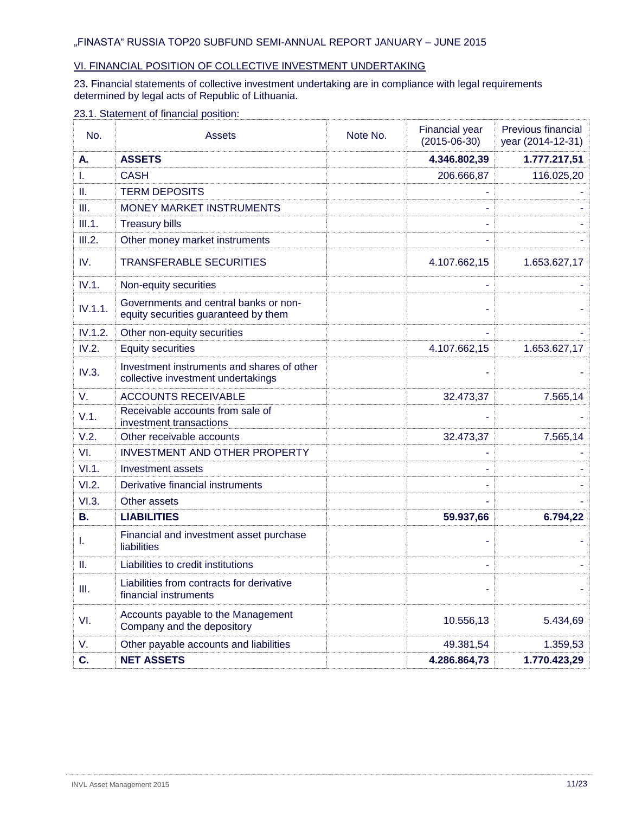## VI. FINANCIAL POSITION OF COLLECTIVE INVESTMENT UNDERTAKING

#### 23. Financial statements of collective investment undertaking are in compliance with legal requirements determined by legal acts of Republic of Lithuania.

## 23.1. Statement of financial position:

| No.       | Assets                                                                           | Note No. | <b>Financial year</b><br>$(2015 - 06 - 30)$ | Previous financial<br>year (2014-12-31) |
|-----------|----------------------------------------------------------------------------------|----------|---------------------------------------------|-----------------------------------------|
| А.        | <b>ASSETS</b>                                                                    |          | 4.346.802,39                                | 1.777.217,51                            |
| L.        | <b>CASH</b>                                                                      |          | 206.666,87                                  | 116.025,20                              |
| H.        | <b>TERM DEPOSITS</b>                                                             |          |                                             |                                         |
| III.      | MONEY MARKET INSTRUMENTS                                                         |          |                                             |                                         |
| III.1.    | <b>Treasury bills</b>                                                            |          |                                             |                                         |
| III.2.    | Other money market instruments                                                   |          |                                             |                                         |
| IV.       | <b>TRANSFERABLE SECURITIES</b>                                                   |          | 4.107.662,15                                | 1.653.627,17                            |
| IV.1.     | Non-equity securities                                                            |          |                                             |                                         |
| IV.1.1.   | Governments and central banks or non-<br>equity securities guaranteed by them    |          |                                             |                                         |
| IV.1.2.   | Other non-equity securities                                                      |          |                                             |                                         |
| IV.2.     | <b>Equity securities</b>                                                         |          | 4.107.662,15                                | 1.653.627,17                            |
| IV.3.     | Investment instruments and shares of other<br>collective investment undertakings |          |                                             |                                         |
| V.        | <b>ACCOUNTS RECEIVABLE</b>                                                       |          | 32.473,37                                   | 7.565,14                                |
| V.1.      | Receivable accounts from sale of<br>investment transactions                      |          |                                             |                                         |
| V.2.      | Other receivable accounts                                                        |          | 32.473,37                                   | 7.565,14                                |
| VI.       | <b>INVESTMENT AND OTHER PROPERTY</b>                                             |          |                                             |                                         |
| VI.1.     | Investment assets                                                                |          |                                             |                                         |
| VI.2.     | Derivative financial instruments                                                 |          |                                             |                                         |
| VI.3.     | Other assets                                                                     |          |                                             |                                         |
| <b>B.</b> | <b>LIABILITIES</b>                                                               |          | 59.937,66                                   | 6.794,22                                |
| ı.        | Financial and investment asset purchase<br>liabilities                           |          |                                             |                                         |
| Ш.        | Liabilities to credit institutions                                               |          |                                             |                                         |
| Ш.        | Liabilities from contracts for derivative<br>financial instruments               |          |                                             |                                         |
| VI.       | Accounts payable to the Management<br>Company and the depository                 |          | 10.556,13                                   | 5.434,69                                |
| V.        | Other payable accounts and liabilities                                           |          | 49.381,54                                   | 1.359,53                                |
| C.        | <b>NET ASSETS</b>                                                                |          | 4.286.864,73                                | 1.770.423,29                            |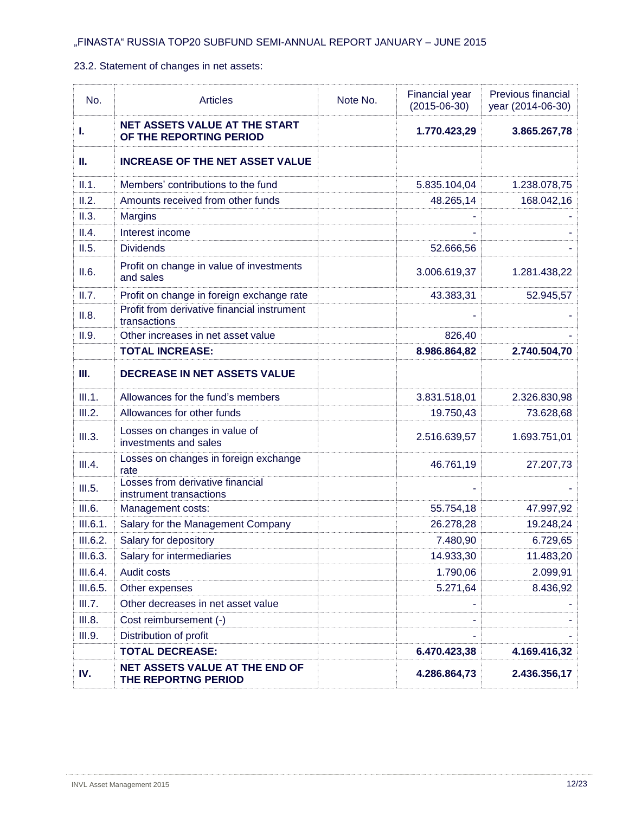## 23.2. Statement of changes in net assets:

| No.      | <b>Articles</b>                                                 | Note No. | <b>Financial year</b><br>$(2015 - 06 - 30)$ | Previous financial<br>year (2014-06-30) |
|----------|-----------------------------------------------------------------|----------|---------------------------------------------|-----------------------------------------|
| ı.       | <b>NET ASSETS VALUE AT THE START</b><br>OF THE REPORTING PERIOD |          | 1.770.423,29                                | 3.865.267,78                            |
| Ш.       | <b>INCREASE OF THE NET ASSET VALUE</b>                          |          |                                             |                                         |
| II.1.    | Members' contributions to the fund                              |          | 5.835.104,04                                | 1.238.078,75                            |
| II.2.    | Amounts received from other funds                               |          | 48.265,14                                   | 168.042,16                              |
| II.3.    | <b>Margins</b>                                                  |          |                                             |                                         |
| II.4.    | Interest income                                                 |          |                                             |                                         |
| II.5.    | <b>Dividends</b>                                                |          | 52.666,56                                   |                                         |
| II.6.    | Profit on change in value of investments<br>and sales           |          | 3.006.619,37                                | 1.281.438,22                            |
| II.7.    | Profit on change in foreign exchange rate                       |          | 43.383,31                                   | 52.945,57                               |
| II.8.    | Profit from derivative financial instrument<br>transactions     |          |                                             |                                         |
| II.9.    | Other increases in net asset value                              |          | 826,40                                      |                                         |
|          | <b>TOTAL INCREASE:</b>                                          |          | 8.986.864,82                                | 2.740.504,70                            |
| Ш.       | <b>DECREASE IN NET ASSETS VALUE</b>                             |          |                                             |                                         |
| III.1.   | Allowances for the fund's members                               |          | 3.831.518,01                                | 2.326.830,98                            |
| III.2.   | Allowances for other funds                                      |          | 19.750,43                                   | 73.628,68                               |
| III.3.   | Losses on changes in value of<br>investments and sales          |          | 2.516.639,57                                | 1.693.751,01                            |
| III.4.   | Losses on changes in foreign exchange<br>rate                   |          | 46.761,19                                   | 27.207,73                               |
| III.5.   | Losses from derivative financial<br>instrument transactions     |          |                                             |                                         |
| III.6.   | Management costs:                                               |          | 55.754,18                                   | 47.997,92                               |
| III.6.1. | Salary for the Management Company                               |          | 26.278,28                                   | 19.248,24                               |
| III.6.2. | Salary for depository                                           |          | 7.480,90                                    | 6.729,65                                |
| III.6.3. | Salary for intermediaries                                       |          | 14.933,30                                   | 11.483,20                               |
| III.6.4. | Audit costs                                                     |          | 1.790,06                                    | 2.099,91                                |
| III.6.5. | Other expenses                                                  |          | 5.271,64                                    | 8.436,92                                |
| III.7.   | Other decreases in net asset value                              |          |                                             |                                         |
| III.8.   | Cost reimbursement (-)                                          |          |                                             |                                         |
| III.9.   | Distribution of profit                                          |          |                                             |                                         |
|          | <b>TOTAL DECREASE:</b>                                          |          | 6.470.423,38                                | 4.169.416,32                            |
| IV.      | NET ASSETS VALUE AT THE END OF<br>THE REPORTNG PERIOD           |          | 4.286.864,73                                | 2.436.356,17                            |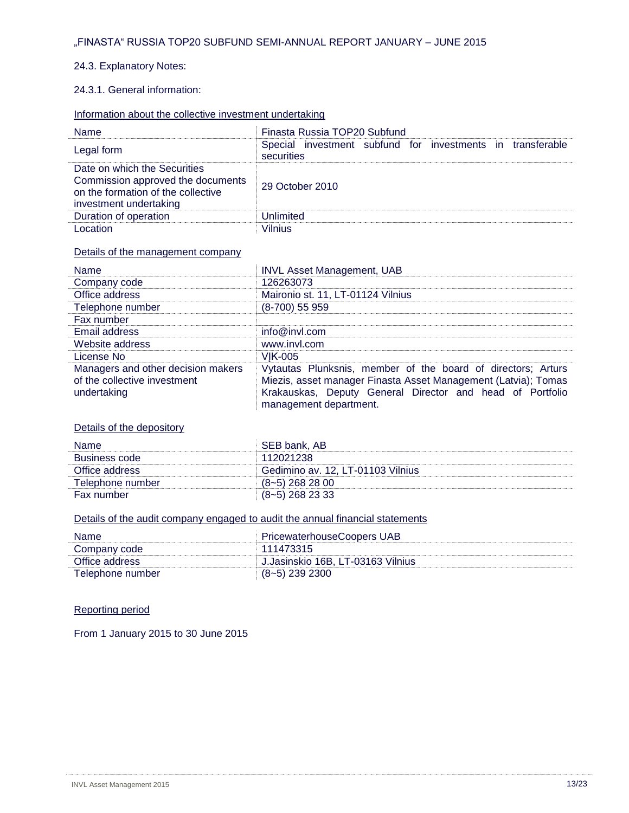### 24.3. Explanatory Notes:

## 24.3.1. General information:

## Information about the collective investment undertaking

| <b>Name</b>                                                                                                                       | Finasta Russia TOP20 Subfund                                             |  |  |
|-----------------------------------------------------------------------------------------------------------------------------------|--------------------------------------------------------------------------|--|--|
| Legal form                                                                                                                        | Special investment subfund for investments in transferable<br>securities |  |  |
| Date on which the Securities<br>Commission approved the documents<br>on the formation of the collective<br>investment undertaking | 29 October 2010                                                          |  |  |
| Duration of operation                                                                                                             | Unlimited                                                                |  |  |
| Location                                                                                                                          | <b>Vilnius</b>                                                           |  |  |

#### Details of the management company

| <b>Name</b>                                                                       | <b>INVL Asset Management, UAB</b>                                                                                                                                                                                     |  |
|-----------------------------------------------------------------------------------|-----------------------------------------------------------------------------------------------------------------------------------------------------------------------------------------------------------------------|--|
| Company code                                                                      | 126263073                                                                                                                                                                                                             |  |
| Office address                                                                    | Maironio st. 11, LT-01124 Vilnius                                                                                                                                                                                     |  |
| Telephone number                                                                  | (8-700) 55 959                                                                                                                                                                                                        |  |
| Fax number                                                                        |                                                                                                                                                                                                                       |  |
| Email address                                                                     | info@invl.com                                                                                                                                                                                                         |  |
| Website address                                                                   | www.invl.com                                                                                                                                                                                                          |  |
| License No                                                                        | <b>VIK-005</b>                                                                                                                                                                                                        |  |
| Managers and other decision makers<br>of the collective investment<br>undertaking | Vytautas Plunksnis, member of the board of directors; Arturs<br>Miezis, asset manager Finasta Asset Management (Latvia); Tomas<br>Krakauskas, Deputy General Director and head of Portfolio<br>management department. |  |

### Details of the depository

| <b>Name</b>      | . SEB bank. AB                    |
|------------------|-----------------------------------|
| Business code    | 112021238                         |
| Office address   | Gedimino av. 12, LT-01103 Vilnius |
| Telephone number | $(8-5)$ 268 28 00                 |
| Fax number       | $(8-5)$ 268 23 33                 |

## Details of the audit company engaged to audit the annual financial statements

| Name             | <b>PricewaterhouseCoopers UAB</b> |
|------------------|-----------------------------------|
| Company code     | 111473315                         |
| Office address   | J.Jasinskio 16B, LT-03163 Vilnius |
| Telephone number | $(8-5)$ 239 2300                  |

## Reporting period

From 1 January 2015 to 30 June 2015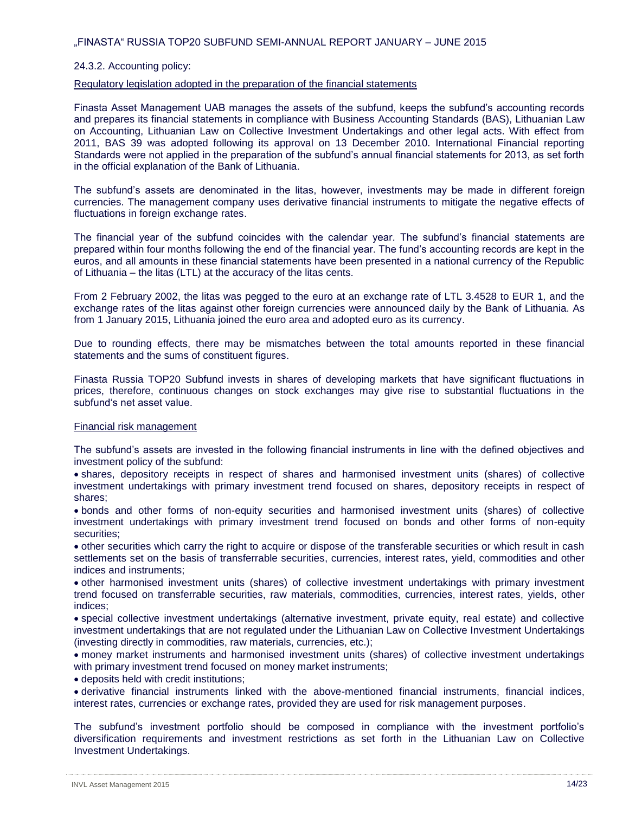#### 24.3.2. Accounting policy:

#### Regulatory legislation adopted in the preparation of the financial statements

Finasta Asset Management UAB manages the assets of the subfund, keeps the subfund's accounting records and prepares its financial statements in compliance with Business Accounting Standards (BAS), Lithuanian Law on Accounting, Lithuanian Law on Collective Investment Undertakings and other legal acts. With effect from 2011, BAS 39 was adopted following its approval on 13 December 2010. International Financial reporting Standards were not applied in the preparation of the subfund's annual financial statements for 2013, as set forth in the official explanation of the Bank of Lithuania.

The subfund's assets are denominated in the litas, however, investments may be made in different foreign currencies. The management company uses derivative financial instruments to mitigate the negative effects of fluctuations in foreign exchange rates.

The financial year of the subfund coincides with the calendar year. The subfund's financial statements are prepared within four months following the end of the financial year. The fund's accounting records are kept in the euros, and all amounts in these financial statements have been presented in a national currency of the Republic of Lithuania – the litas (LTL) at the accuracy of the litas cents.

From 2 February 2002, the litas was pegged to the euro at an exchange rate of LTL 3.4528 to EUR 1, and the exchange rates of the litas against other foreign currencies were announced daily by the Bank of Lithuania. As from 1 January 2015, Lithuania joined the euro area and adopted euro as its currency.

Due to rounding effects, there may be mismatches between the total amounts reported in these financial statements and the sums of constituent figures.

Finasta Russia TOP20 Subfund invests in shares of developing markets that have significant fluctuations in prices, therefore, continuous changes on stock exchanges may give rise to substantial fluctuations in the subfund's net asset value.

#### Financial risk management

The subfund's assets are invested in the following financial instruments in line with the defined objectives and investment policy of the subfund:

 shares, depository receipts in respect of shares and harmonised investment units (shares) of collective investment undertakings with primary investment trend focused on shares, depository receipts in respect of shares;

 bonds and other forms of non-equity securities and harmonised investment units (shares) of collective investment undertakings with primary investment trend focused on bonds and other forms of non-equity securities;

 other securities which carry the right to acquire or dispose of the transferable securities or which result in cash settlements set on the basis of transferrable securities, currencies, interest rates, yield, commodities and other indices and instruments;

 other harmonised investment units (shares) of collective investment undertakings with primary investment trend focused on transferrable securities, raw materials, commodities, currencies, interest rates, yields, other indices;

 special collective investment undertakings (alternative investment, private equity, real estate) and collective investment undertakings that are not regulated under the Lithuanian Law on Collective Investment Undertakings (investing directly in commodities, raw materials, currencies, etc.);

 money market instruments and harmonised investment units (shares) of collective investment undertakings with primary investment trend focused on money market instruments;

deposits held with credit institutions;

 derivative financial instruments linked with the above-mentioned financial instruments, financial indices, interest rates, currencies or exchange rates, provided they are used for risk management purposes.

The subfund's investment portfolio should be composed in compliance with the investment portfolio's diversification requirements and investment restrictions as set forth in the Lithuanian Law on Collective Investment Undertakings.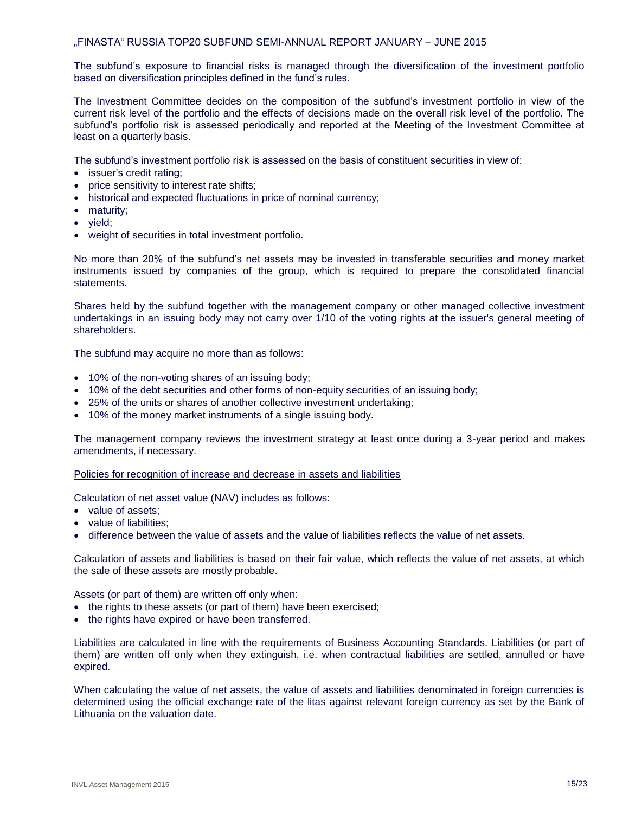The subfund's exposure to financial risks is managed through the diversification of the investment portfolio based on diversification principles defined in the fund's rules.

The Investment Committee decides on the composition of the subfund's investment portfolio in view of the current risk level of the portfolio and the effects of decisions made on the overall risk level of the portfolio. The subfund's portfolio risk is assessed periodically and reported at the Meeting of the Investment Committee at least on a quarterly basis.

The subfund's investment portfolio risk is assessed on the basis of constituent securities in view of:

- issuer's credit rating;
- price sensitivity to interest rate shifts;
- historical and expected fluctuations in price of nominal currency;
- maturity:
- yield;
- weight of securities in total investment portfolio.

No more than 20% of the subfund's net assets may be invested in transferable securities and money market instruments issued by companies of the group, which is required to prepare the consolidated financial statements.

Shares held by the subfund together with the management company or other managed collective investment undertakings in an issuing body may not carry over 1/10 of the voting rights at the issuer's general meeting of shareholders.

The subfund may acquire no more than as follows:

- 10% of the non-voting shares of an issuing body;
- 10% of the debt securities and other forms of non-equity securities of an issuing body;
- 25% of the units or shares of another collective investment undertaking;
- 10% of the money market instruments of a single issuing body.

The management company reviews the investment strategy at least once during a 3-year period and makes amendments, if necessary.

Policies for recognition of increase and decrease in assets and liabilities

Calculation of net asset value (NAV) includes as follows:

- value of assets;
- value of liabilities:
- difference between the value of assets and the value of liabilities reflects the value of net assets.

Calculation of assets and liabilities is based on their fair value, which reflects the value of net assets, at which the sale of these assets are mostly probable.

Assets (or part of them) are written off only when:

- the rights to these assets (or part of them) have been exercised;
- the rights have expired or have been transferred.

Liabilities are calculated in line with the requirements of Business Accounting Standards. Liabilities (or part of them) are written off only when they extinguish, i.e. when contractual liabilities are settled, annulled or have expired.

When calculating the value of net assets, the value of assets and liabilities denominated in foreign currencies is determined using the official exchange rate of the litas against relevant foreign currency as set by the Bank of Lithuania on the valuation date.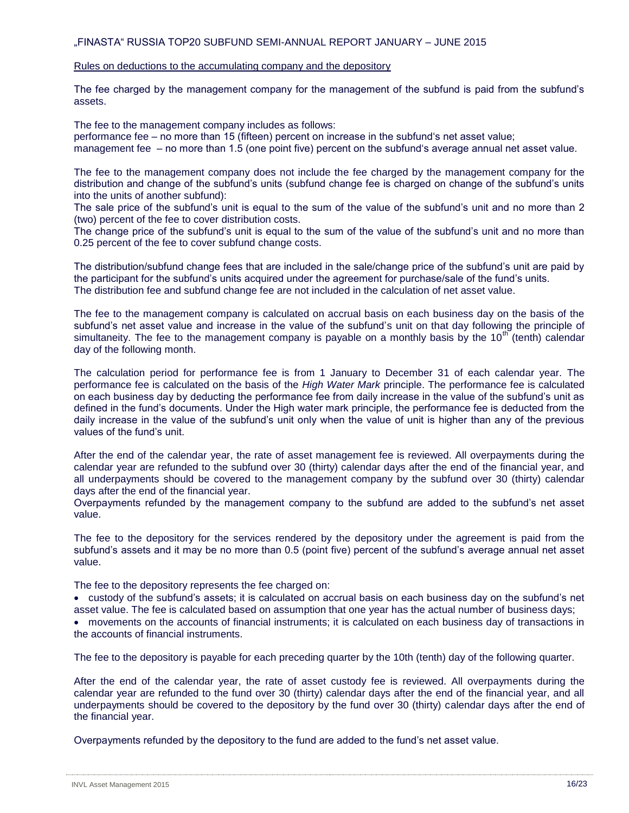#### Rules on deductions to the accumulating company and the depository

The fee charged by the management company for the management of the subfund is paid from the subfund's assets.

The fee to the management company includes as follows:

performance fee – no more than 15 (fifteen) percent on increase in the subfund's net asset value;

management fee – no more than 1.5 (one point five) percent on the subfund's average annual net asset value.

The fee to the management company does not include the fee charged by the management company for the distribution and change of the subfund's units (subfund change fee is charged on change of the subfund's units into the units of another subfund):

The sale price of the subfund's unit is equal to the sum of the value of the subfund's unit and no more than 2 (two) percent of the fee to cover distribution costs.

The change price of the subfund's unit is equal to the sum of the value of the subfund's unit and no more than 0.25 percent of the fee to cover subfund change costs.

The distribution/subfund change fees that are included in the sale/change price of the subfund's unit are paid by the participant for the subfund's units acquired under the agreement for purchase/sale of the fund's units. The distribution fee and subfund change fee are not included in the calculation of net asset value.

The fee to the management company is calculated on accrual basis on each business day on the basis of the subfund's net asset value and increase in the value of the subfund's unit on that day following the principle of simultaneity. The fee to the management company is payable on a monthly basis by the  $10^{th}$  (tenth) calendar day of the following month.

The calculation period for performance fee is from 1 January to December 31 of each calendar year. The performance fee is calculated on the basis of the *High Water Mark* principle. The performance fee is calculated on each business day by deducting the performance fee from daily increase in the value of the subfund's unit as defined in the fund's documents. Under the High water mark principle, the performance fee is deducted from the daily increase in the value of the subfund's unit only when the value of unit is higher than any of the previous values of the fund's unit.

After the end of the calendar year, the rate of asset management fee is reviewed. All overpayments during the calendar year are refunded to the subfund over 30 (thirty) calendar days after the end of the financial year, and all underpayments should be covered to the management company by the subfund over 30 (thirty) calendar days after the end of the financial year.

Overpayments refunded by the management company to the subfund are added to the subfund's net asset value.

The fee to the depository for the services rendered by the depository under the agreement is paid from the subfund's assets and it may be no more than 0.5 (point five) percent of the subfund's average annual net asset value.

The fee to the depository represents the fee charged on:

 custody of the subfund's assets; it is calculated on accrual basis on each business day on the subfund's net asset value. The fee is calculated based on assumption that one year has the actual number of business days;

 movements on the accounts of financial instruments; it is calculated on each business day of transactions in the accounts of financial instruments.

The fee to the depository is payable for each preceding quarter by the 10th (tenth) day of the following quarter.

After the end of the calendar year, the rate of asset custody fee is reviewed. All overpayments during the calendar year are refunded to the fund over 30 (thirty) calendar days after the end of the financial year, and all underpayments should be covered to the depository by the fund over 30 (thirty) calendar days after the end of the financial year.

Overpayments refunded by the depository to the fund are added to the fund's net asset value.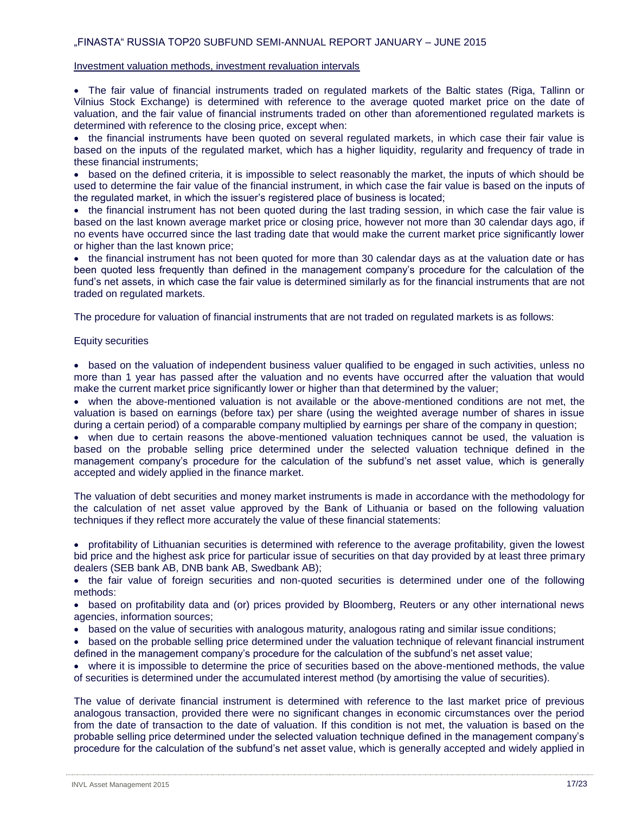#### Investment valuation methods, investment revaluation intervals

 The fair value of financial instruments traded on regulated markets of the Baltic states (Riga, Tallinn or Vilnius Stock Exchange) is determined with reference to the average quoted market price on the date of valuation, and the fair value of financial instruments traded on other than aforementioned regulated markets is determined with reference to the closing price, except when:

• the financial instruments have been quoted on several regulated markets, in which case their fair value is based on the inputs of the regulated market, which has a higher liquidity, regularity and frequency of trade in these financial instruments;

• based on the defined criteria, it is impossible to select reasonably the market, the inputs of which should be used to determine the fair value of the financial instrument, in which case the fair value is based on the inputs of the regulated market, in which the issuer's registered place of business is located;

• the financial instrument has not been quoted during the last trading session, in which case the fair value is based on the last known average market price or closing price, however not more than 30 calendar days ago, if no events have occurred since the last trading date that would make the current market price significantly lower or higher than the last known price;

• the financial instrument has not been quoted for more than 30 calendar days as at the valuation date or has been quoted less frequently than defined in the management company's procedure for the calculation of the fund's net assets, in which case the fair value is determined similarly as for the financial instruments that are not traded on regulated markets.

The procedure for valuation of financial instruments that are not traded on regulated markets is as follows:

#### Equity securities

• based on the valuation of independent business valuer qualified to be engaged in such activities, unless no more than 1 year has passed after the valuation and no events have occurred after the valuation that would make the current market price significantly lower or higher than that determined by the valuer;

 when the above-mentioned valuation is not available or the above-mentioned conditions are not met, the valuation is based on earnings (before tax) per share (using the weighted average number of shares in issue during a certain period) of a comparable company multiplied by earnings per share of the company in question;

 when due to certain reasons the above-mentioned valuation techniques cannot be used, the valuation is based on the probable selling price determined under the selected valuation technique defined in the management company's procedure for the calculation of the subfund's net asset value, which is generally accepted and widely applied in the finance market.

The valuation of debt securities and money market instruments is made in accordance with the methodology for the calculation of net asset value approved by the Bank of Lithuania or based on the following valuation techniques if they reflect more accurately the value of these financial statements:

 profitability of Lithuanian securities is determined with reference to the average profitability, given the lowest bid price and the highest ask price for particular issue of securities on that day provided by at least three primary dealers (SEB bank AB, DNB bank AB, Swedbank AB);

• the fair value of foreign securities and non-quoted securities is determined under one of the following methods:

• based on profitability data and (or) prices provided by Bloomberg, Reuters or any other international news agencies, information sources;

• based on the value of securities with analogous maturity, analogous rating and similar issue conditions;

• based on the probable selling price determined under the valuation technique of relevant financial instrument defined in the management company's procedure for the calculation of the subfund's net asset value;

 where it is impossible to determine the price of securities based on the above-mentioned methods, the value of securities is determined under the accumulated interest method (by amortising the value of securities).

The value of derivate financial instrument is determined with reference to the last market price of previous analogous transaction, provided there were no significant changes in economic circumstances over the period from the date of transaction to the date of valuation. If this condition is not met, the valuation is based on the probable selling price determined under the selected valuation technique defined in the management company's procedure for the calculation of the subfund's net asset value, which is generally accepted and widely applied in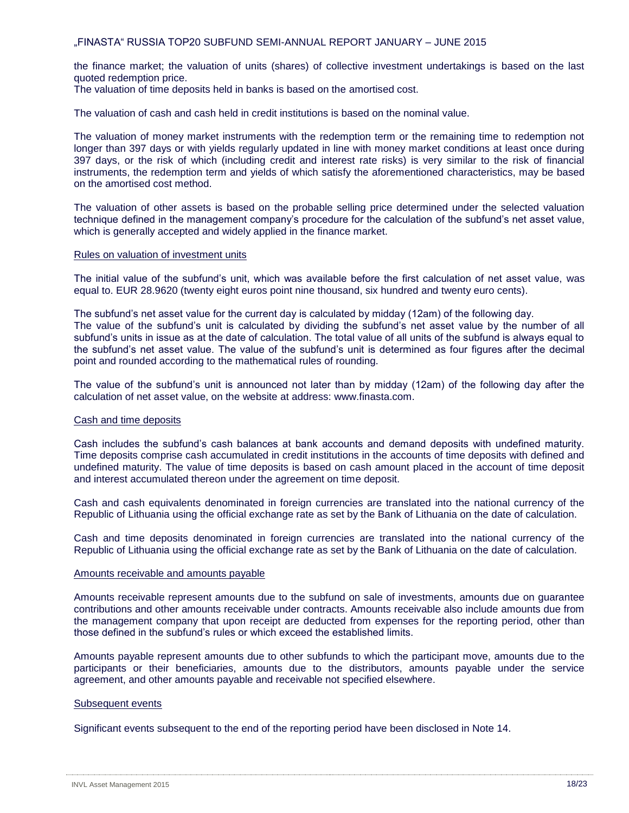the finance market; the valuation of units (shares) of collective investment undertakings is based on the last quoted redemption price.

The valuation of time deposits held in banks is based on the amortised cost.

The valuation of cash and cash held in credit institutions is based on the nominal value.

The valuation of money market instruments with the redemption term or the remaining time to redemption not longer than 397 days or with yields regularly updated in line with money market conditions at least once during 397 days, or the risk of which (including credit and interest rate risks) is very similar to the risk of financial instruments, the redemption term and yields of which satisfy the aforementioned characteristics, may be based on the amortised cost method.

The valuation of other assets is based on the probable selling price determined under the selected valuation technique defined in the management company's procedure for the calculation of the subfund's net asset value, which is generally accepted and widely applied in the finance market.

#### Rules on valuation of investment units

The initial value of the subfund's unit, which was available before the first calculation of net asset value, was equal to. EUR 28.9620 (twenty eight euros point nine thousand, six hundred and twenty euro cents).

The subfund's net asset value for the current day is calculated by midday (12am) of the following day.

The value of the subfund's unit is calculated by dividing the subfund's net asset value by the number of all subfund's units in issue as at the date of calculation. The total value of all units of the subfund is always equal to the subfund's net asset value. The value of the subfund's unit is determined as four figures after the decimal point and rounded according to the mathematical rules of rounding.

The value of the subfund's unit is announced not later than by midday (12am) of the following day after the calculation of net asset value, on the website at address: [www.finasta.com.](http://www.finasta.com/)

#### Cash and time deposits

Cash includes the subfund's cash balances at bank accounts and demand deposits with undefined maturity. Time deposits comprise cash accumulated in credit institutions in the accounts of time deposits with defined and undefined maturity. The value of time deposits is based on cash amount placed in the account of time deposit and interest accumulated thereon under the agreement on time deposit.

Cash and cash equivalents denominated in foreign currencies are translated into the national currency of the Republic of Lithuania using the official exchange rate as set by the Bank of Lithuania on the date of calculation.

Cash and time deposits denominated in foreign currencies are translated into the national currency of the Republic of Lithuania using the official exchange rate as set by the Bank of Lithuania on the date of calculation.

#### Amounts receivable and amounts payable

Amounts receivable represent amounts due to the subfund on sale of investments, amounts due on guarantee contributions and other amounts receivable under contracts. Amounts receivable also include amounts due from the management company that upon receipt are deducted from expenses for the reporting period, other than those defined in the subfund's rules or which exceed the established limits.

Amounts payable represent amounts due to other subfunds to which the participant move, amounts due to the participants or their beneficiaries, amounts due to the distributors, amounts payable under the service agreement, and other amounts payable and receivable not specified elsewhere.

#### Subsequent events

Significant events subsequent to the end of the reporting period have been disclosed in Note 14.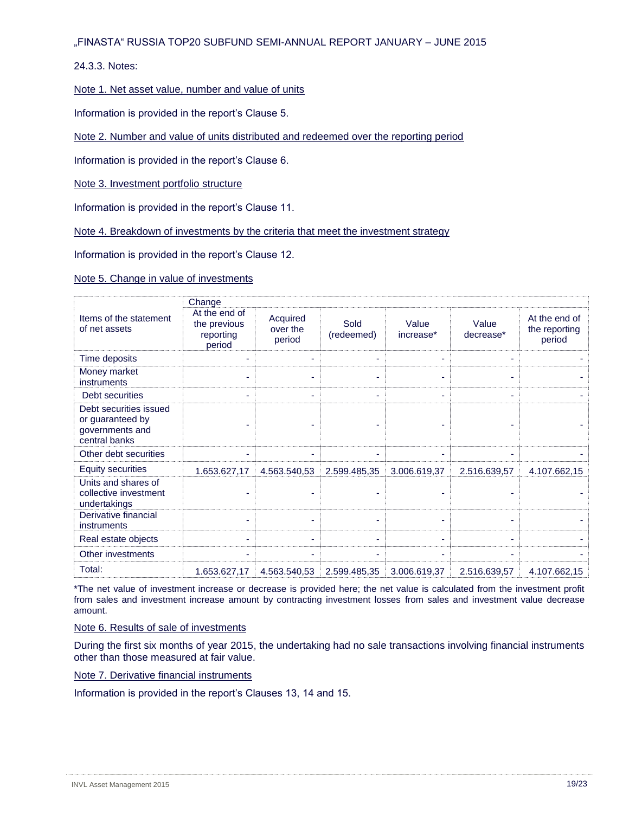24.3.3. Notes:

Note 1. Net asset value, number and value of units

Information is provided in the report's Clause 5.

Note 2. Number and value of units distributed and redeemed over the reporting period

Information is provided in the report's Clause 6.

Note 3. Investment portfolio structure

Information is provided in the report's Clause 11.

Note 4. Breakdown of investments by the criteria that meet the investment strategy

Information is provided in the report's Clause 12.

Note 5. Change in value of investments

|                                                                                | Change                                               |                                |                    |                    |                    |                                          |
|--------------------------------------------------------------------------------|------------------------------------------------------|--------------------------------|--------------------|--------------------|--------------------|------------------------------------------|
| Items of the statement<br>of net assets                                        | At the end of<br>the previous<br>reporting<br>period | Acquired<br>over the<br>period | Sold<br>(redeemed) | Value<br>increase* | Value<br>decrease* | At the end of<br>the reporting<br>period |
| Time deposits                                                                  |                                                      | ۰                              | ۰                  |                    |                    |                                          |
| Money market<br>instruments                                                    |                                                      |                                | ٠                  |                    |                    |                                          |
| Debt securities                                                                |                                                      | ۰                              | ٠                  |                    |                    |                                          |
| Debt securities issued<br>or guaranteed by<br>governments and<br>central banks |                                                      |                                |                    |                    |                    |                                          |
| Other debt securities                                                          |                                                      |                                | ۰                  |                    |                    |                                          |
| <b>Equity securities</b>                                                       | 1.653.627,17                                         | 4.563.540,53                   | 2.599.485,35       | 3.006.619,37       | 2.516.639,57       | 4.107.662,15                             |
| Units and shares of<br>collective investment<br>undertakings                   |                                                      |                                |                    |                    |                    |                                          |
| Derivative financial<br>instruments                                            |                                                      |                                | ٠                  |                    |                    |                                          |
| Real estate objects                                                            |                                                      |                                | ٠                  |                    |                    |                                          |
| Other investments                                                              |                                                      |                                | ٠                  |                    |                    |                                          |
| Total:                                                                         | 1.653.627,17                                         | 4.563.540,53                   | 2.599.485,35       | 3.006.619,37       | 2.516.639,57       | 4.107.662,15                             |

\*The net value of investment increase or decrease is provided here; the net value is calculated from the investment profit from sales and investment increase amount by contracting investment losses from sales and investment value decrease amount.

Note 6. Results of sale of investments

During the first six months of year 2015, the undertaking had no sale transactions involving financial instruments other than those measured at fair value.

Note 7. Derivative financial instruments

Information is provided in the report's Clauses 13, 14 and 15.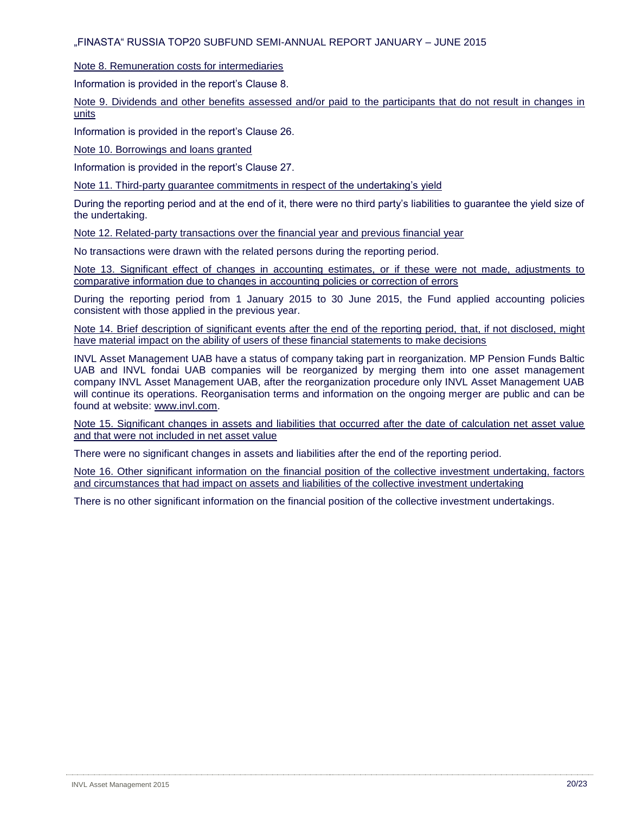Note 8. Remuneration costs for intermediaries

Information is provided in the report's Clause 8.

Note 9. Dividends and other benefits assessed and/or paid to the participants that do not result in changes in units

Information is provided in the report's Clause 26.

Note 10. Borrowings and loans granted

Information is provided in the report's Clause 27.

Note 11. Third-party guarantee commitments in respect of the undertaking's yield

During the reporting period and at the end of it, there were no third party's liabilities to guarantee the yield size of the undertaking.

Note 12. Related-party transactions over the financial year and previous financial year

No transactions were drawn with the related persons during the reporting period.

Note 13. Significant effect of changes in accounting estimates, or if these were not made, adjustments to comparative information due to changes in accounting policies or correction of errors

During the reporting period from 1 January 2015 to 30 June 2015, the Fund applied accounting policies consistent with those applied in the previous year.

Note 14. Brief description of significant events after the end of the reporting period, that, if not disclosed, might have material impact on the ability of users of these financial statements to make decisions

INVL Asset Management UAB have a status of company taking part in reorganization. MP Pension Funds Baltic UAB and INVL fondai UAB companies will be reorganized by merging them into one asset management company INVL Asset Management UAB, after the reorganization procedure only INVL Asset Management UAB will continue its operations. Reorganisation terms and information on the ongoing merger are public and can be found at website: [www.invl.com.](http://www.invl.com/)

Note 15. Significant changes in assets and liabilities that occurred after the date of calculation net asset value and that were not included in net asset value

There were no significant changes in assets and liabilities after the end of the reporting period.

Note 16. Other significant information on the financial position of the collective investment undertaking, factors and circumstances that had impact on assets and liabilities of the collective investment undertaking

There is no other significant information on the financial position of the collective investment undertakings.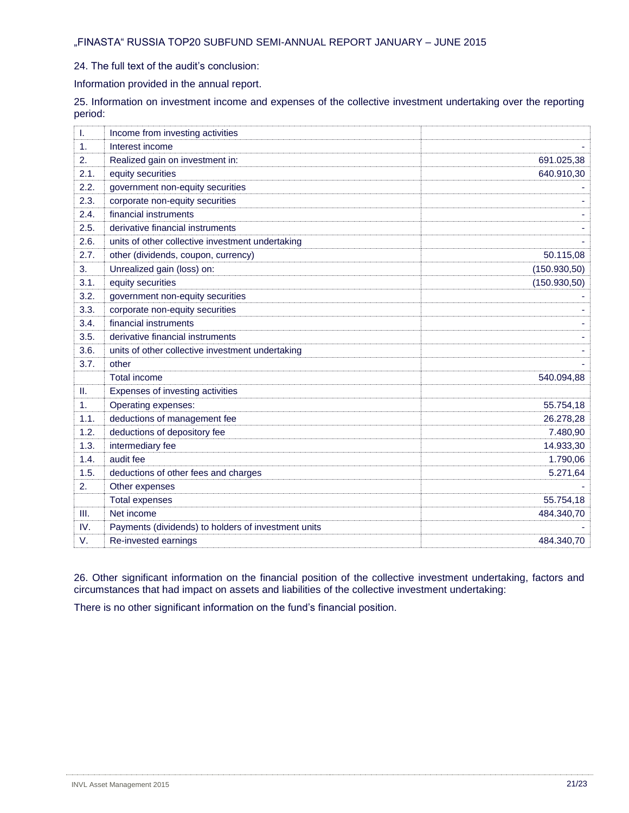24. The full text of the audit's conclusion:

Information provided in the annual report.

25. Information on investment income and expenses of the collective investment undertaking over the reporting period:

| I.   | Income from investing activities                    |               |
|------|-----------------------------------------------------|---------------|
| 1.   | Interest income                                     |               |
| 2.   | Realized gain on investment in:                     | 691.025,38    |
| 2.1. | equity securities                                   | 640.910,30    |
| 2.2. | government non-equity securities                    |               |
| 2.3. | corporate non-equity securities                     |               |
| 2.4. | financial instruments                               |               |
| 2.5. | derivative financial instruments                    |               |
| 2.6. | units of other collective investment undertaking    |               |
| 2.7. | other (dividends, coupon, currency)                 | 50.115,08     |
| 3.   | Unrealized gain (loss) on:                          | (150.930, 50) |
| 3.1. | equity securities                                   | (150.930, 50) |
| 3.2. | government non-equity securities                    |               |
| 3.3. | corporate non-equity securities                     |               |
| 3.4. | financial instruments                               |               |
| 3.5. | derivative financial instruments                    |               |
| 3.6. | units of other collective investment undertaking    |               |
| 3.7. | other                                               |               |
|      | <b>Total income</b>                                 | 540.094,88    |
| II.  | Expenses of investing activities                    |               |
| 1.   | Operating expenses:                                 | 55.754,18     |
| 1.1. | deductions of management fee                        | 26.278,28     |
| 1.2. | deductions of depository fee                        | 7.480,90      |
| 1.3. | intermediary fee                                    | 14.933,30     |
| 1.4. | audit fee                                           | 1.790,06      |
| 1.5. | deductions of other fees and charges                | 5.271,64      |
| 2.   | Other expenses                                      |               |
|      | <b>Total expenses</b>                               | 55.754,18     |
| Ш.   | Net income                                          | 484.340,70    |
| IV.  | Payments (dividends) to holders of investment units |               |
| V.   | Re-invested earnings                                | 484.340,70    |

26. Other significant information on the financial position of the collective investment undertaking, factors and circumstances that had impact on assets and liabilities of the collective investment undertaking:

There is no other significant information on the fund's financial position.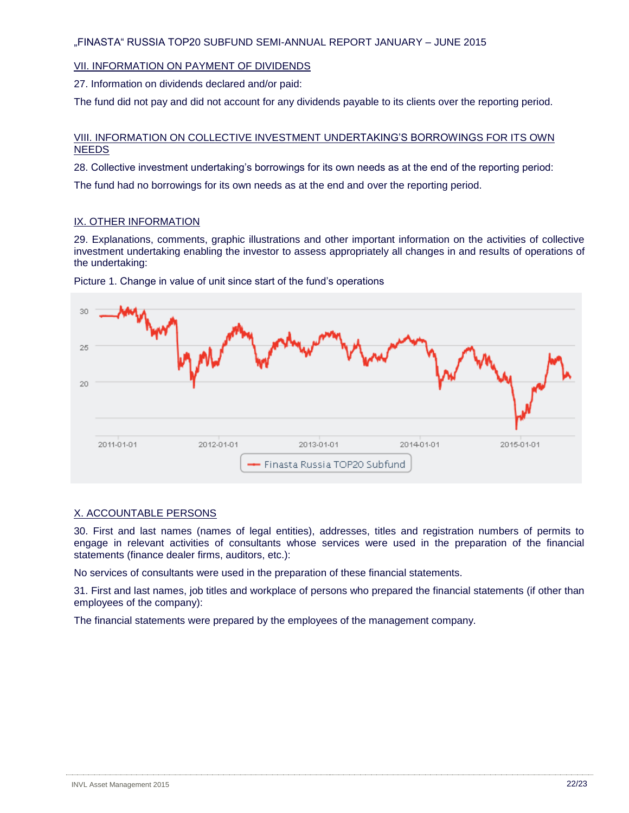## VII. INFORMATION ON PAYMENT OF DIVIDENDS

27. Information on dividends declared and/or paid:

The fund did not pay and did not account for any dividends payable to its clients over the reporting period.

## VIII. INFORMATION ON COLLECTIVE INVESTMENT UNDERTAKING'S BORROWINGS FOR ITS OWN NEEDS

28. Collective investment undertaking's borrowings for its own needs as at the end of the reporting period:

The fund had no borrowings for its own needs as at the end and over the reporting period.

#### IX. OTHER INFORMATION

29. Explanations, comments, graphic illustrations and other important information on the activities of collective investment undertaking enabling the investor to assess appropriately all changes in and results of operations of the undertaking:



Picture 1. Change in value of unit since start of the fund's operations

#### X. ACCOUNTABLE PERSONS

30. First and last names (names of legal entities), addresses, titles and registration numbers of permits to engage in relevant activities of consultants whose services were used in the preparation of the financial statements (finance dealer firms, auditors, etc.):

No services of consultants were used in the preparation of these financial statements.

31. First and last names, job titles and workplace of persons who prepared the financial statements (if other than employees of the company):

The financial statements were prepared by the employees of the management company.